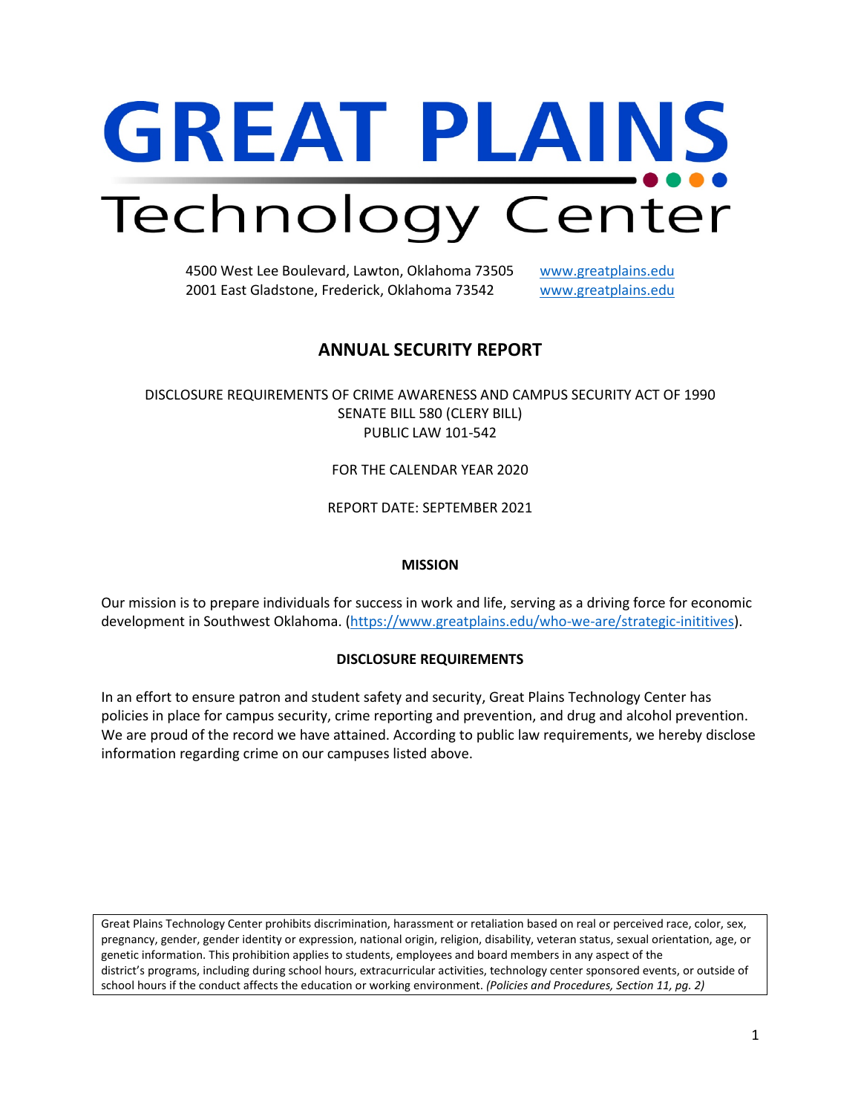# **GREAT PLAINS** Technology Center

4500 West Lee Boulevard, Lawton, Oklahoma 73505 [www.greatplains.edu](http://www.greatplains.edu/) 2001 East Gladstone, Frederick, Oklahoma 73542 [www.greatplains.edu](http://www.greatplains.edu/)

# **ANNUAL SECURITY REPORT**

DISCLOSURE REQUIREMENTS OF CRIME AWARENESS AND CAMPUS SECURITY ACT OF 1990 SENATE BILL 580 (CLERY BILL) PUBLIC LAW 101-542

FOR THE CALENDAR YEAR 2020

REPORT DATE: SEPTEMBER 2021

# **MISSION**

Our mission is to prepare individuals for success in work and life, serving as a driving force for economic development in Southwest Oklahoma. [\(https://www.greatplains.edu/who-we-are/strategic-inititives\)](https://www.greatplains.edu/who-we-are/strategic-inititives).

# **DISCLOSURE REQUIREMENTS**

In an effort to ensure patron and student safety and security, Great Plains Technology Center has policies in place for campus security, crime reporting and prevention, and drug and alcohol prevention. We are proud of the record we have attained. According to public law requirements, we hereby disclose information regarding crime on our campuses listed above.

Great Plains Technology Center prohibits discrimination, harassment or retaliation based on real or perceived race, color, sex, pregnancy, gender, gender identity or expression, national origin, religion, disability, veteran status, sexual orientation, age, or genetic information. This prohibition applies to students, employees and board members in any aspect of the district's programs, including during school hours, extracurricular activities, technology center sponsored events, or outside of school hours if the conduct affects the education or working environment. *(Policies and Procedures, Section 11, pg. 2)*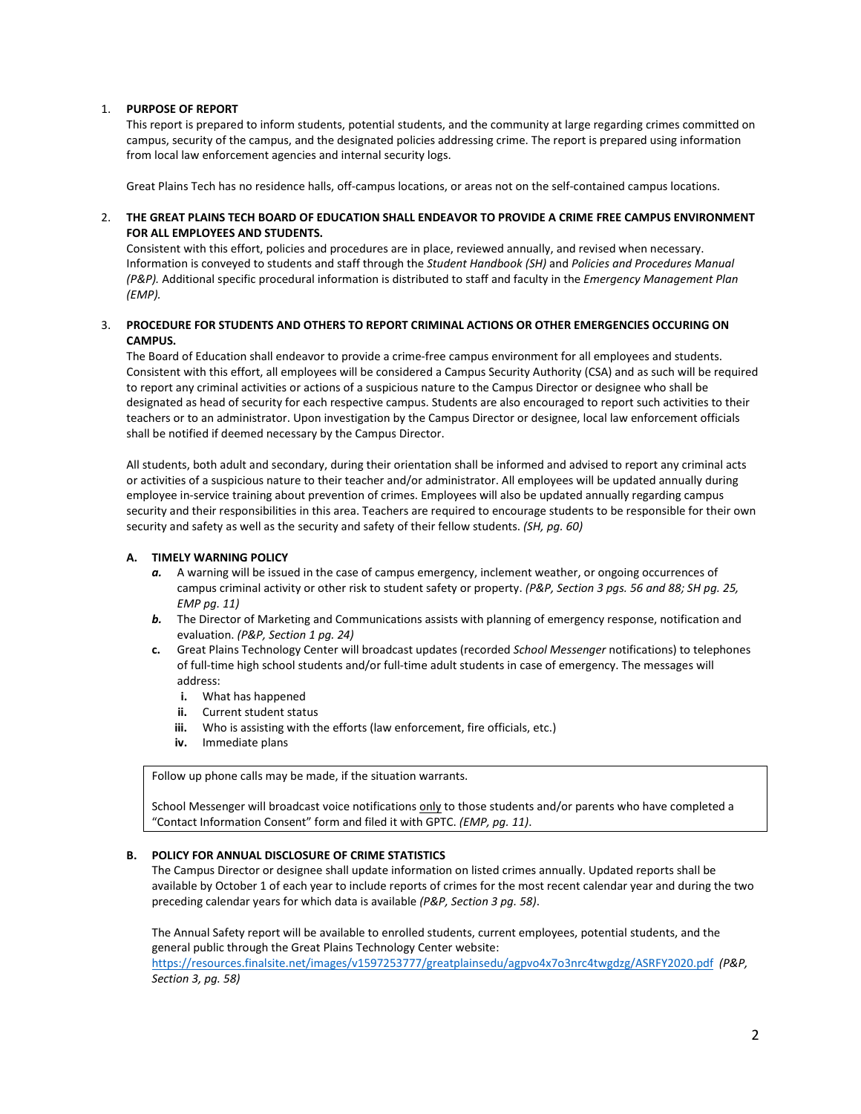# 1. **PURPOSE OF REPORT**

This report is prepared to inform students, potential students, and the community at large regarding crimes committed on campus, security of the campus, and the designated policies addressing crime. The report is prepared using information from local law enforcement agencies and internal security logs.

Great Plains Tech has no residence halls, off-campus locations, or areas not on the self-contained campus locations.

# 2. **THE GREAT PLAINS TECH BOARD OF EDUCATION SHALL ENDEAVOR TO PROVIDE A CRIME FREE CAMPUS ENVIRONMENT FOR ALL EMPLOYEES AND STUDENTS.**

Consistent with this effort, policies and procedures are in place, reviewed annually, and revised when necessary. Information is conveyed to students and staff through the *Student Handbook (SH)* and *Policies and Procedures Manual (P&P).* Additional specific procedural information is distributed to staff and faculty in the *Emergency Management Plan (EMP).*

# 3. **PROCEDURE FOR STUDENTS AND OTHERS TO REPORT CRIMINAL ACTIONS OR OTHER EMERGENCIES OCCURING ON CAMPUS.**

The Board of Education shall endeavor to provide a crime-free campus environment for all employees and students. Consistent with this effort, all employees will be considered a Campus Security Authority (CSA) and as such will be required to report any criminal activities or actions of a suspicious nature to the Campus Director or designee who shall be designated as head of security for each respective campus. Students are also encouraged to report such activities to their teachers or to an administrator. Upon investigation by the Campus Director or designee, local law enforcement officials shall be notified if deemed necessary by the Campus Director.

All students, both adult and secondary, during their orientation shall be informed and advised to report any criminal acts or activities of a suspicious nature to their teacher and/or administrator. All employees will be updated annually during employee in-service training about prevention of crimes. Employees will also be updated annually regarding campus security and their responsibilities in this area. Teachers are required to encourage students to be responsible for their own security and safety as well as the security and safety of their fellow students. *(SH, pg. 60)*

### **A. TIMELY WARNING POLICY**

- a. A warning will be issued in the case of campus emergency, inclement weather, or ongoing occurrences of campus criminal activity or other risk to student safety or property. *(P&P, Section 3 pgs. 56 and 88; SH pg. 25, EMP pg. 11)*
- *b.* The Director of Marketing and Communications assists with planning of emergency response, notification and evaluation. *(P&P, Section 1 pg. 24)*
- **c.** Great Plains Technology Center will broadcast updates (recorded *School Messenger* notifications) to telephones of full-time high school students and/or full-time adult students in case of emergency. The messages will address:
	- **i.** What has happened
	- **ii.** Current student status
	- **iii.** Who is assisting with the efforts (law enforcement, fire officials, etc.)
	- **iv.** Immediate plans

Follow up phone calls may be made, if the situation warrants.

School Messenger will broadcast voice notifications only to those students and/or parents who have completed a "Contact Information Consent" form and filed it with GPTC. *(EMP, pg. 11)*.

#### **B. POLICY FOR ANNUAL DISCLOSURE OF CRIME STATISTICS**

The Campus Director or designee shall update information on listed crimes annually. Updated reports shall be available by October 1 of each year to include reports of crimes for the most recent calendar year and during the two preceding calendar years for which data is available *(P&P, Section 3 pg. 58)*.

The Annual Safety report will be available to enrolled students, current employees, potential students, and the general public through the Great Plains Technology Center website:

<https://resources.finalsite.net/images/v1597253777/greatplainsedu/agpvo4x7o3nrc4twgdzg/ASRFY2020.pdf>*(P&P, Section 3, pg. 58)*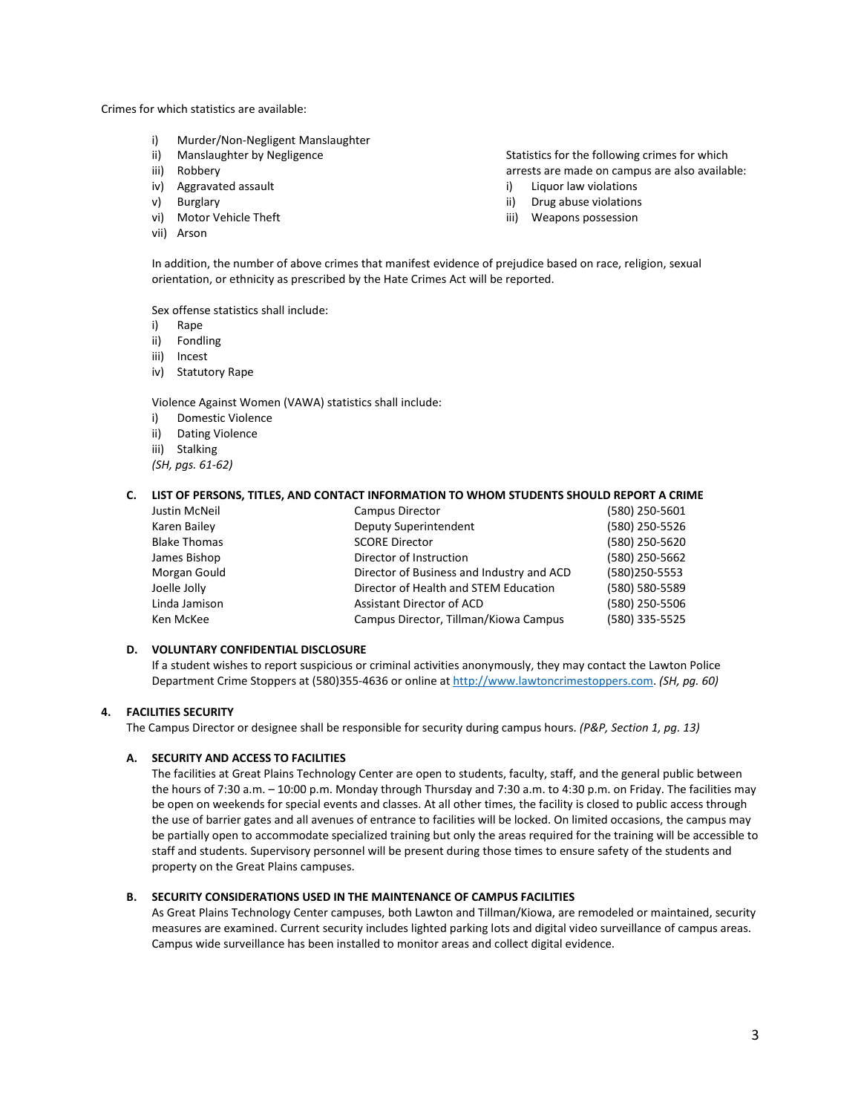Crimes for which statistics are available:

- i) Murder/Non-Negligent Manslaughter
- ii) Manslaughter by Negligence
- iii) Robbery
- iv) Aggravated assault
- v) Burglary
- vi) Motor Vehicle Theft
- vii) Arson

Statistics for the following crimes for which arrests are made on campus are also available:

- i) Liquor law violations
- ii) Drug abuse violations
- iii) Weapons possession

In addition, the number of above crimes that manifest evidence of prejudice based on race, religion, sexual orientation, or ethnicity as prescribed by the Hate Crimes Act will be reported.

Sex offense statistics shall include:

- i) Rape
- ii) Fondling
- iii) Incest
- iv) Statutory Rape

Violence Against Women (VAWA) statistics shall include:

- i) Domestic Violence
- ii) Dating Violence
- iii) Stalking
- *(SH, pgs. 61-62)*

#### **C. LIST OF PERSONS, TITLES, AND CONTACT INFORMATION TO WHOM STUDENTS SHOULD REPORT A CRIME**

| Campus Director                           | (580) 250-5601 |
|-------------------------------------------|----------------|
| Deputy Superintendent                     | (580) 250-5526 |
| <b>SCORE Director</b>                     | (580) 250-5620 |
| Director of Instruction                   | (580) 250-5662 |
| Director of Business and Industry and ACD | (580)250-5553  |
| Director of Health and STEM Education     | (580) 580-5589 |
| Assistant Director of ACD                 | (580) 250-5506 |
| Campus Director, Tillman/Kiowa Campus     | (580) 335-5525 |
|                                           |                |

#### **D. VOLUNTARY CONFIDENTIAL DISCLOSURE**

If a student wishes to report suspicious or criminal activities anonymously, they may contact the Lawton Police Department Crime Stoppers at (580)355-4636 or online a[t http://www.lawtoncrimestoppers.com.](http://www.lawtoncrimestoppers.com/) *(SH, pg. 60)*

## **4. FACILITIES SECURITY**

The Campus Director or designee shall be responsible for security during campus hours. *(P&P, Section 1, pg. 13)*

# **A. SECURITY AND ACCESS TO FACILITIES**

The facilities at Great Plains Technology Center are open to students, faculty, staff, and the general public between the hours of 7:30 a.m. – 10:00 p.m. Monday through Thursday and 7:30 a.m. to 4:30 p.m. on Friday. The facilities may be open on weekends for special events and classes. At all other times, the facility is closed to public access through the use of barrier gates and all avenues of entrance to facilities will be locked. On limited occasions, the campus may be partially open to accommodate specialized training but only the areas required for the training will be accessible to staff and students. Supervisory personnel will be present during those times to ensure safety of the students and property on the Great Plains campuses.

#### **B. SECURITY CONSIDERATIONS USED IN THE MAINTENANCE OF CAMPUS FACILITIES**

As Great Plains Technology Center campuses, both Lawton and Tillman/Kiowa, are remodeled or maintained, security measures are examined. Current security includes lighted parking lots and digital video surveillance of campus areas. Campus wide surveillance has been installed to monitor areas and collect digital evidence.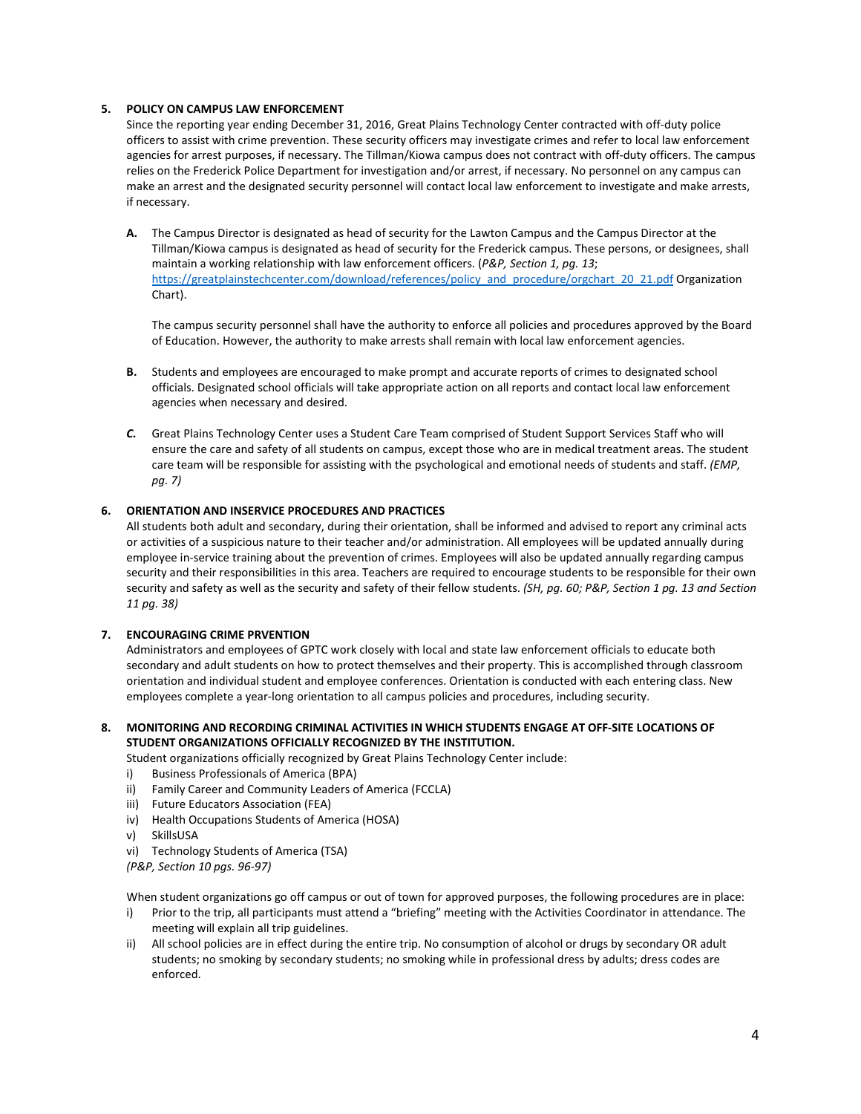## **5. POLICY ON CAMPUS LAW ENFORCEMENT**

Since the reporting year ending December 31, 2016, Great Plains Technology Center contracted with off-duty police officers to assist with crime prevention. These security officers may investigate crimes and refer to local law enforcement agencies for arrest purposes, if necessary. The Tillman/Kiowa campus does not contract with off-duty officers. The campus relies on the Frederick Police Department for investigation and/or arrest, if necessary. No personnel on any campus can make an arrest and the designated security personnel will contact local law enforcement to investigate and make arrests, if necessary.

**A.** The Campus Director is designated as head of security for the Lawton Campus and the Campus Director at the Tillman/Kiowa campus is designated as head of security for the Frederick campus. These persons, or designees, shall maintain a working relationship with law enforcement officers. (*P&P, Section 1, pg. 13*; [https://greatplainstechcenter.com/download/references/policy\\_and\\_procedure/orgchart\\_20\\_21.pdf](https://greatplainstechcenter.com/download/references/policy_and_procedure/orgchart_20_21.pdf) Organization Chart).

The campus security personnel shall have the authority to enforce all policies and procedures approved by the Board of Education. However, the authority to make arrests shall remain with local law enforcement agencies.

- **B.** Students and employees are encouraged to make prompt and accurate reports of crimes to designated school officials. Designated school officials will take appropriate action on all reports and contact local law enforcement agencies when necessary and desired.
- *C.* Great Plains Technology Center uses a Student Care Team comprised of Student Support Services Staff who will ensure the care and safety of all students on campus, except those who are in medical treatment areas. The student care team will be responsible for assisting with the psychological and emotional needs of students and staff. *(EMP, pg. 7)*

# **6. ORIENTATION AND INSERVICE PROCEDURES AND PRACTICES**

All students both adult and secondary, during their orientation, shall be informed and advised to report any criminal acts or activities of a suspicious nature to their teacher and/or administration. All employees will be updated annually during employee in-service training about the prevention of crimes. Employees will also be updated annually regarding campus security and their responsibilities in this area. Teachers are required to encourage students to be responsible for their own security and safety as well as the security and safety of their fellow students. *(SH, pg. 60; P&P, Section 1 pg. 13 and Section 11 pg. 38)*

#### **7. ENCOURAGING CRIME PRVENTION**

Administrators and employees of GPTC work closely with local and state law enforcement officials to educate both secondary and adult students on how to protect themselves and their property. This is accomplished through classroom orientation and individual student and employee conferences. Orientation is conducted with each entering class. New employees complete a year-long orientation to all campus policies and procedures, including security.

# **8. MONITORING AND RECORDING CRIMINAL ACTIVITIES IN WHICH STUDENTS ENGAGE AT OFF-SITE LOCATIONS OF STUDENT ORGANIZATIONS OFFICIALLY RECOGNIZED BY THE INSTITUTION.**

Student organizations officially recognized by Great Plains Technology Center include:

- i) Business Professionals of America (BPA)
- ii) Family Career and Community Leaders of America (FCCLA)
- iii) Future Educators Association (FEA)
- iv) Health Occupations Students of America (HOSA)
- v) SkillsUSA
- vi) Technology Students of America (TSA)

*(P&P, Section 10 pgs. 96-97)*

When student organizations go off campus or out of town for approved purposes, the following procedures are in place:

- i) Prior to the trip, all participants must attend a "briefing" meeting with the Activities Coordinator in attendance. The meeting will explain all trip guidelines.
- ii) All school policies are in effect during the entire trip. No consumption of alcohol or drugs by secondary OR adult students; no smoking by secondary students; no smoking while in professional dress by adults; dress codes are enforced.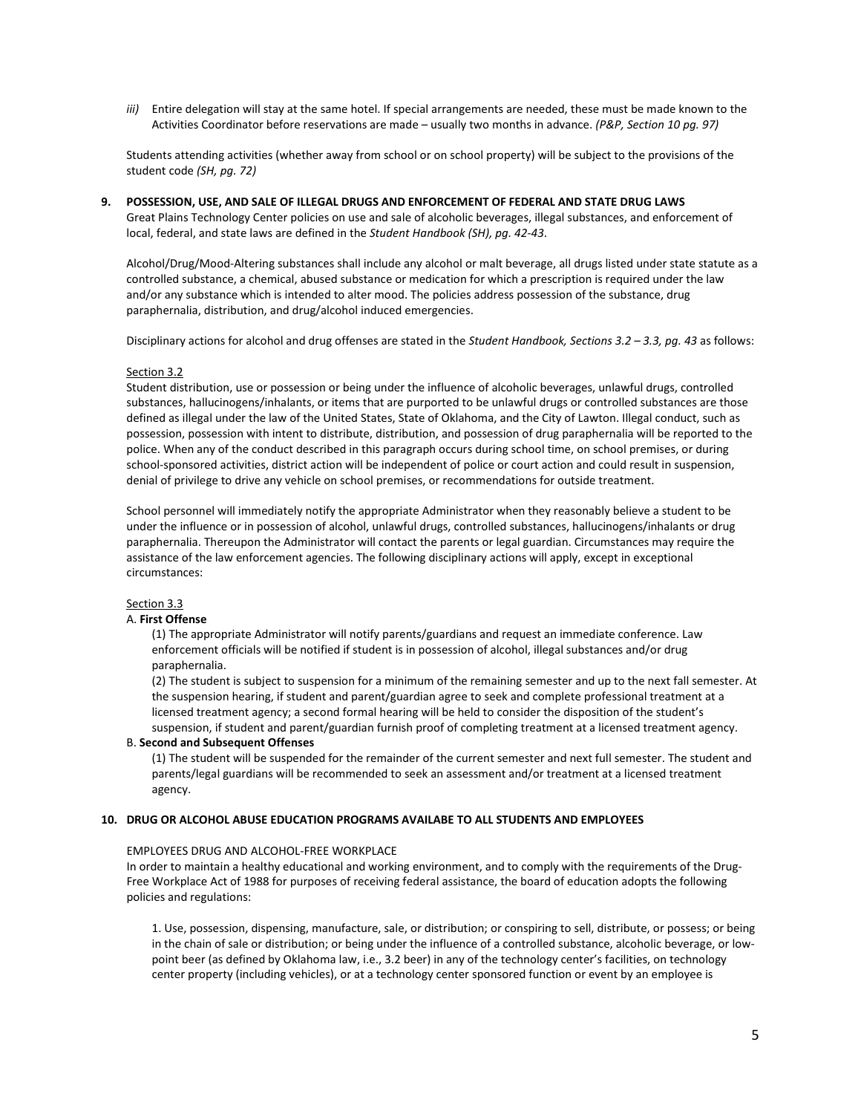*iii)* Entire delegation will stay at the same hotel. If special arrangements are needed, these must be made known to the Activities Coordinator before reservations are made – usually two months in advance. *(P&P, Section 10 pg. 97)*

Students attending activities (whether away from school or on school property) will be subject to the provisions of the student code *(SH, pg. 72)*

# **9. POSSESSION, USE, AND SALE OF ILLEGAL DRUGS AND ENFORCEMENT OF FEDERAL AND STATE DRUG LAWS**

Great Plains Technology Center policies on use and sale of alcoholic beverages, illegal substances, and enforcement of local, federal, and state laws are defined in the *Student Handbook (SH), pg. 42-43*.

Alcohol/Drug/Mood-Altering substances shall include any alcohol or malt beverage, all drugs listed under state statute as a controlled substance, a chemical, abused substance or medication for which a prescription is required under the law and/or any substance which is intended to alter mood. The policies address possession of the substance, drug paraphernalia, distribution, and drug/alcohol induced emergencies.

Disciplinary actions for alcohol and drug offenses are stated in the *Student Handbook, Sections 3.2 – 3.3, pg. 43* as follows:

#### Section 3.2

Student distribution, use or possession or being under the influence of alcoholic beverages, unlawful drugs, controlled substances, hallucinogens/inhalants, or items that are purported to be unlawful drugs or controlled substances are those defined as illegal under the law of the United States, State of Oklahoma, and the City of Lawton. Illegal conduct, such as possession, possession with intent to distribute, distribution, and possession of drug paraphernalia will be reported to the police. When any of the conduct described in this paragraph occurs during school time, on school premises, or during school-sponsored activities, district action will be independent of police or court action and could result in suspension, denial of privilege to drive any vehicle on school premises, or recommendations for outside treatment.

School personnel will immediately notify the appropriate Administrator when they reasonably believe a student to be under the influence or in possession of alcohol, unlawful drugs, controlled substances, hallucinogens/inhalants or drug paraphernalia. Thereupon the Administrator will contact the parents or legal guardian. Circumstances may require the assistance of the law enforcement agencies. The following disciplinary actions will apply, except in exceptional circumstances:

#### Section 3.3

#### A. **First Offense**

(1) The appropriate Administrator will notify parents/guardians and request an immediate conference. Law enforcement officials will be notified if student is in possession of alcohol, illegal substances and/or drug paraphernalia.

(2) The student is subject to suspension for a minimum of the remaining semester and up to the next fall semester. At the suspension hearing, if student and parent/guardian agree to seek and complete professional treatment at a licensed treatment agency; a second formal hearing will be held to consider the disposition of the student's suspension, if student and parent/guardian furnish proof of completing treatment at a licensed treatment agency.

#### B. **Second and Subsequent Offenses**

(1) The student will be suspended for the remainder of the current semester and next full semester. The student and parents/legal guardians will be recommended to seek an assessment and/or treatment at a licensed treatment agency.

#### **10. DRUG OR ALCOHOL ABUSE EDUCATION PROGRAMS AVAILABE TO ALL STUDENTS AND EMPLOYEES**

#### EMPLOYEES DRUG AND ALCOHOL-FREE WORKPLACE

In order to maintain a healthy educational and working environment, and to comply with the requirements of the Drug-Free Workplace Act of 1988 for purposes of receiving federal assistance, the board of education adopts the following policies and regulations:

1. Use, possession, dispensing, manufacture, sale, or distribution; or conspiring to sell, distribute, or possess; or being in the chain of sale or distribution; or being under the influence of a controlled substance, alcoholic beverage, or lowpoint beer (as defined by Oklahoma law, i.e., 3.2 beer) in any of the technology center's facilities, on technology center property (including vehicles), or at a technology center sponsored function or event by an employee is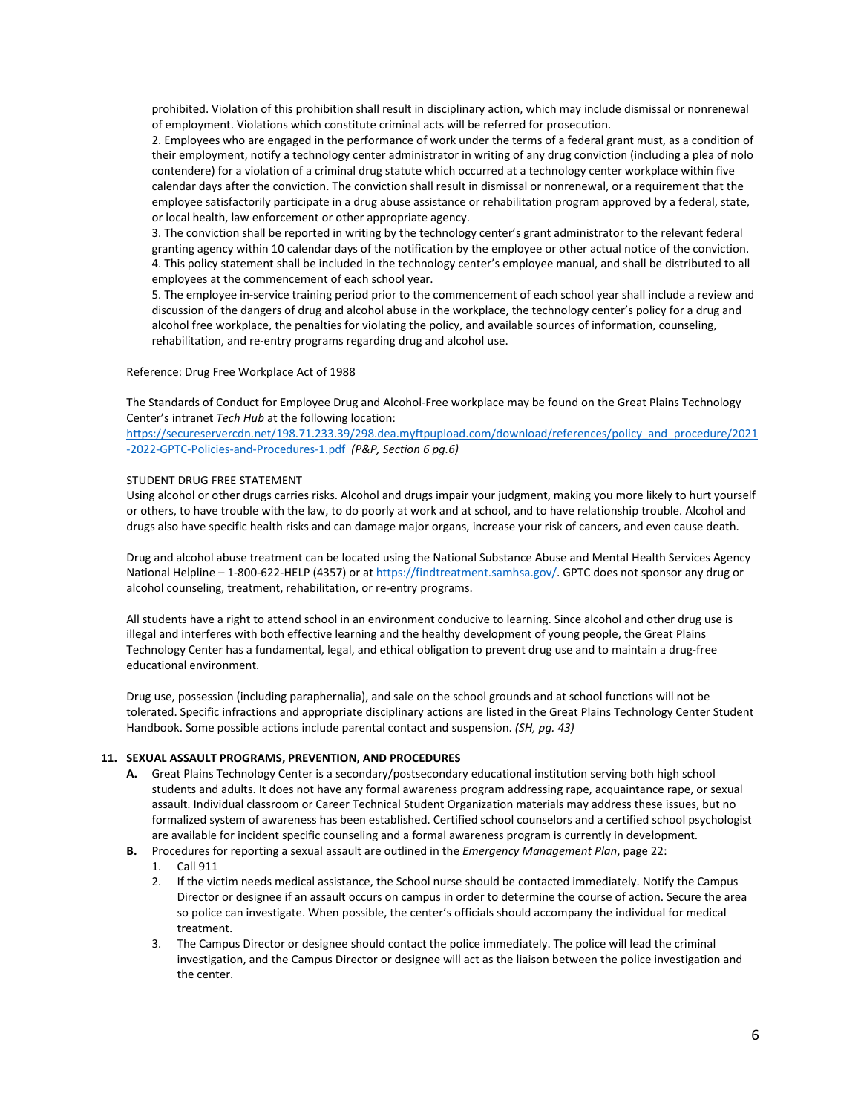prohibited. Violation of this prohibition shall result in disciplinary action, which may include dismissal or nonrenewal of employment. Violations which constitute criminal acts will be referred for prosecution.

2. Employees who are engaged in the performance of work under the terms of a federal grant must, as a condition of their employment, notify a technology center administrator in writing of any drug conviction (including a plea of nolo contendere) for a violation of a criminal drug statute which occurred at a technology center workplace within five calendar days after the conviction. The conviction shall result in dismissal or nonrenewal, or a requirement that the employee satisfactorily participate in a drug abuse assistance or rehabilitation program approved by a federal, state, or local health, law enforcement or other appropriate agency.

3. The conviction shall be reported in writing by the technology center's grant administrator to the relevant federal granting agency within 10 calendar days of the notification by the employee or other actual notice of the conviction. 4. This policy statement shall be included in the technology center's employee manual, and shall be distributed to all employees at the commencement of each school year.

5. The employee in-service training period prior to the commencement of each school year shall include a review and discussion of the dangers of drug and alcohol abuse in the workplace, the technology center's policy for a drug and alcohol free workplace, the penalties for violating the policy, and available sources of information, counseling, rehabilitation, and re-entry programs regarding drug and alcohol use.

#### Reference: Drug Free Workplace Act of 1988

The Standards of Conduct for Employee Drug and Alcohol-Free workplace may be found on the Great Plains Technology Center's intranet *Tech Hub* at the following location:

[https://secureservercdn.net/198.71.233.39/298.dea.myftpupload.com/download/references/policy\\_and\\_procedure/2021](https://secureservercdn.net/198.71.233.39/298.dea.myftpupload.com/download/references/policy_and_procedure/2021-2022-GPTC-Policies-and-Procedures-1.pdf) [-2022-GPTC-Policies-and-Procedures-1.pdf](https://secureservercdn.net/198.71.233.39/298.dea.myftpupload.com/download/references/policy_and_procedure/2021-2022-GPTC-Policies-and-Procedures-1.pdf) *(P&P, Section 6 pg.6)*

## STUDENT DRUG FREE STATEMENT

Using alcohol or other drugs carries risks. Alcohol and drugs impair your judgment, making you more likely to hurt yourself or others, to have trouble with the law, to do poorly at work and at school, and to have relationship trouble. Alcohol and drugs also have specific health risks and can damage major organs, increase your risk of cancers, and even cause death.

Drug and alcohol abuse treatment can be located using the National Substance Abuse and Mental Health Services Agency National Helpline - 1-800-622-HELP (4357) or a[t https://findtreatment.samhsa.gov/.](https://findtreatment.samhsa.gov/) GPTC does not sponsor any drug or alcohol counseling, treatment, rehabilitation, or re-entry programs.

All students have a right to attend school in an environment conducive to learning. Since alcohol and other drug use is illegal and interferes with both effective learning and the healthy development of young people, the Great Plains Technology Center has a fundamental, legal, and ethical obligation to prevent drug use and to maintain a drug-free educational environment.

Drug use, possession (including paraphernalia), and sale on the school grounds and at school functions will not be tolerated. Specific infractions and appropriate disciplinary actions are listed in the Great Plains Technology Center Student Handbook. Some possible actions include parental contact and suspension. *(SH, pg. 43)*

# **11. SEXUAL ASSAULT PROGRAMS, PREVENTION, AND PROCEDURES**

- **A.** Great Plains Technology Center is a secondary/postsecondary educational institution serving both high school students and adults. It does not have any formal awareness program addressing rape, acquaintance rape, or sexual assault. Individual classroom or Career Technical Student Organization materials may address these issues, but no formalized system of awareness has been established. Certified school counselors and a certified school psychologist are available for incident specific counseling and a formal awareness program is currently in development.
- **B.** Procedures for reporting a sexual assault are outlined in the *Emergency Management Plan*, page 22:
	- 1. Call 911
	- 2. If the victim needs medical assistance, the School nurse should be contacted immediately. Notify the Campus Director or designee if an assault occurs on campus in order to determine the course of action. Secure the area so police can investigate. When possible, the center's officials should accompany the individual for medical treatment.
	- 3. The Campus Director or designee should contact the police immediately. The police will lead the criminal investigation, and the Campus Director or designee will act as the liaison between the police investigation and the center.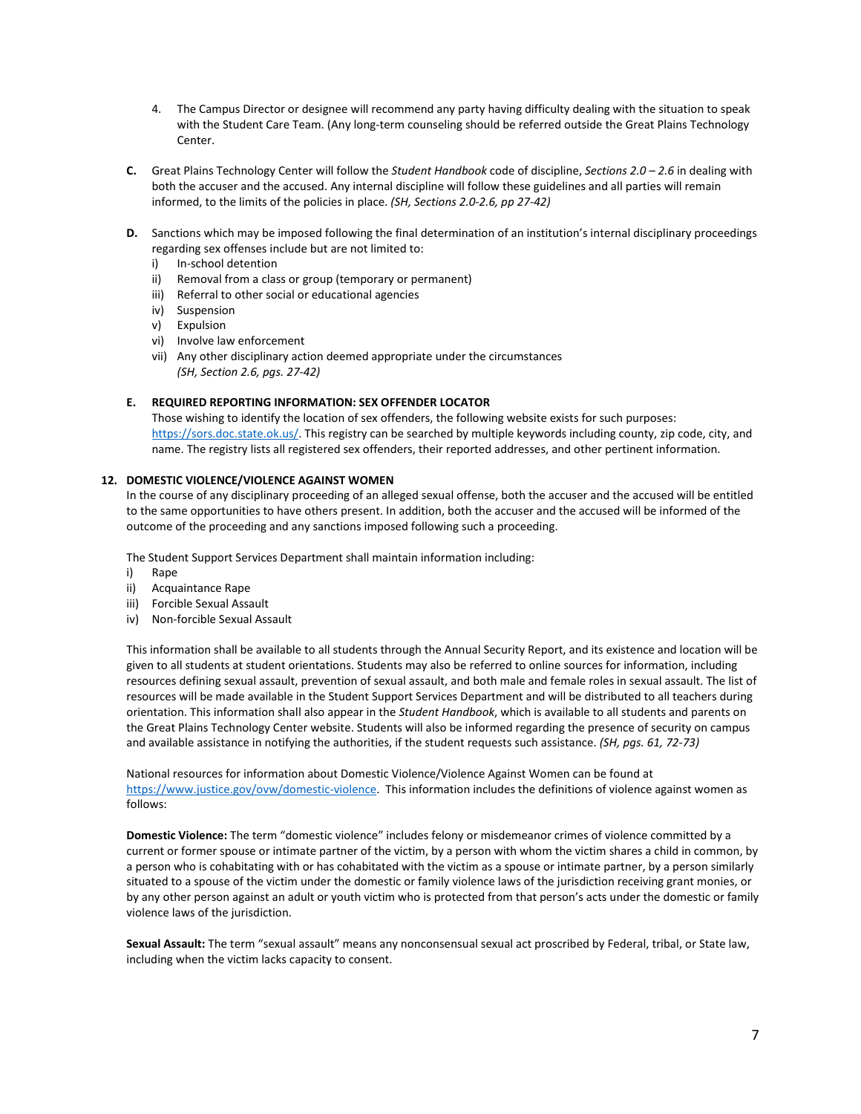- 4. The Campus Director or designee will recommend any party having difficulty dealing with the situation to speak with the Student Care Team. (Any long-term counseling should be referred outside the Great Plains Technology Center.
- **C.** Great Plains Technology Center will follow the *Student Handbook* code of discipline, *Sections 2.0 – 2.6* in dealing with both the accuser and the accused. Any internal discipline will follow these guidelines and all parties will remain informed, to the limits of the policies in place. *(SH, Sections 2.0-2.6, pp 27-42)*
- **D.** Sanctions which may be imposed following the final determination of an institution's internal disciplinary proceedings regarding sex offenses include but are not limited to:
	- i) In-school detention
	- ii) Removal from a class or group (temporary or permanent)
	- iii) Referral to other social or educational agencies
	- iv) Suspension
	- v) Expulsion
	- vi) Involve law enforcement
	- vii) Any other disciplinary action deemed appropriate under the circumstances *(SH, Section 2.6, pgs. 27-42)*

### **E. REQUIRED REPORTING INFORMATION: SEX OFFENDER LOCATOR**

Those wishing to identify the location of sex offenders, the following website exists for such purposes: [https://sors.doc.state.ok.us/.](https://sors.doc.state.ok.us/) This registry can be searched by multiple keywords including county, zip code, city, and name. The registry lists all registered sex offenders, their reported addresses, and other pertinent information.

# **12. DOMESTIC VIOLENCE/VIOLENCE AGAINST WOMEN**

In the course of any disciplinary proceeding of an alleged sexual offense, both the accuser and the accused will be entitled to the same opportunities to have others present. In addition, both the accuser and the accused will be informed of the outcome of the proceeding and any sanctions imposed following such a proceeding.

The Student Support Services Department shall maintain information including:

- i) Rape
- ii) Acquaintance Rape
- iii) Forcible Sexual Assault
- iv) Non-forcible Sexual Assault

This information shall be available to all students through the Annual Security Report, and its existence and location will be given to all students at student orientations. Students may also be referred to online sources for information, including resources defining sexual assault, prevention of sexual assault, and both male and female roles in sexual assault. The list of resources will be made available in the Student Support Services Department and will be distributed to all teachers during orientation. This information shall also appear in the *Student Handbook*, which is available to all students and parents on the Great Plains Technology Center website. Students will also be informed regarding the presence of security on campus and available assistance in notifying the authorities, if the student requests such assistance. *(SH, pgs. 61, 72-73)*

National resources for information about Domestic Violence/Violence Against Women can be found at [https://www.justice.gov/ovw/domestic-violence.](https://www.justice.gov/ovw/domestic-violence) This information includes the definitions of violence against women as follows:

**Domestic Violence:** The term "domestic violence" includes felony or misdemeanor crimes of violence committed by a current or former spouse or intimate partner of the victim, by a person with whom the victim shares a child in common, by a person who is cohabitating with or has cohabitated with the victim as a spouse or intimate partner, by a person similarly situated to a spouse of the victim under the domestic or family violence laws of the jurisdiction receiving grant monies, or by any other person against an adult or youth victim who is protected from that person's acts under the domestic or family violence laws of the jurisdiction.

**Sexual Assault:** The term "sexual assault" means any nonconsensual sexual act proscribed by Federal, tribal, or State law, including when the victim lacks capacity to consent.